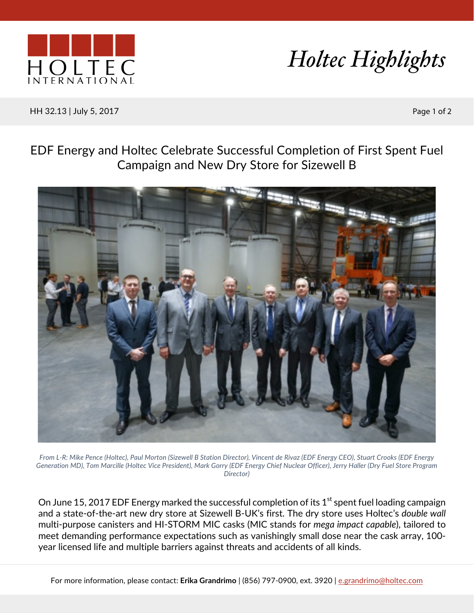



HH 32.13 | July 5, 2017 Page 1 of 2

## EDF Energy and Holtec Celebrate Successful Completion of First Spent Fuel Campaign and New Dry Store for Sizewell B



*From L-R: Mike Pence (Holtec), Paul Morton (Sizewell B Station Director), Vincent de Rivaz (EDF Energy CEO), Stuart Crooks (EDF Energy Generation MD), Tom Marcille (Holtec Vice President), Mark Gorry (EDF Energy Chief Nuclear Officer), Jerry Haller (Dry Fuel Store Program Director)*

On June 15, 2017 EDF Energy marked the successful completion of its  $1<sup>st</sup>$  spent fuel loading campaign and a state-of-the-art new dry store at Sizewell B-UK's first. The dry store uses Holtec's *double wall* multi-purpose canisters and HI-STORM MIC casks (MIC stands for *mega impact capable*), tailored to meet demanding performance expectations such as vanishingly small dose near the cask array, 100 year licensed life and multiple barriers against threats and accidents of all kinds.